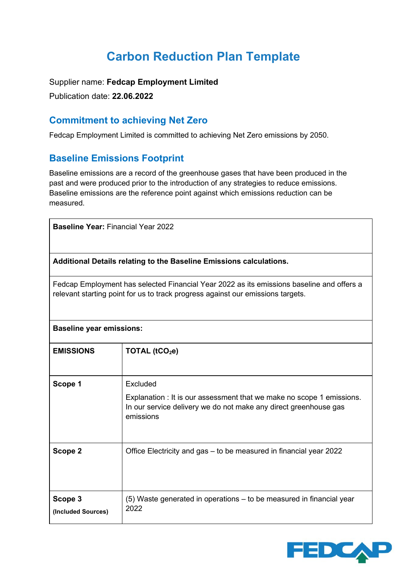# **Carbon Reduction Plan Template**

Supplier name: **Fedcap Employment Limited**

Publication date: **22.06.2022**

#### **Commitment to achieving Net Zero**

Fedcap Employment Limited is committed to achieving Net Zero emissions by 2050.

#### **Baseline Emissions Footprint**

Baseline emissions are a record of the greenhouse gases that have been produced in the past and were produced prior to the introduction of any strategies to reduce emissions. Baseline emissions are the reference point against which emissions reduction can be measured.

**Baseline Year:** Financial Year 2022

**(Included Sources)**

**Additional Details relating to the Baseline Emissions calculations.**

Fedcap Employment has selected Financial Year 2022 as its emissions baseline and offers a relevant starting point for us to track progress against our emissions targets.

| <b>Baseline year emissions:</b>                                                             |                                                                                                                                                                    |  |
|---------------------------------------------------------------------------------------------|--------------------------------------------------------------------------------------------------------------------------------------------------------------------|--|
| <b>EMISSIONS</b>                                                                            | TOTAL $(tCO2e)$                                                                                                                                                    |  |
| Scope 1                                                                                     | Excluded<br>Explanation : It is our assessment that we make no scope 1 emissions.<br>In our service delivery we do not make any direct greenhouse gas<br>emissions |  |
| Scope 2                                                                                     | Office Electricity and gas – to be measured in financial year 2022                                                                                                 |  |
| Scope 3<br>$\mathbf{u}$ and $\mathbf{u}$ and $\mathbf{v}$ and $\mathbf{v}$ and $\mathbf{v}$ | (5) Waste generated in operations – to be measured in financial year<br>2022                                                                                       |  |

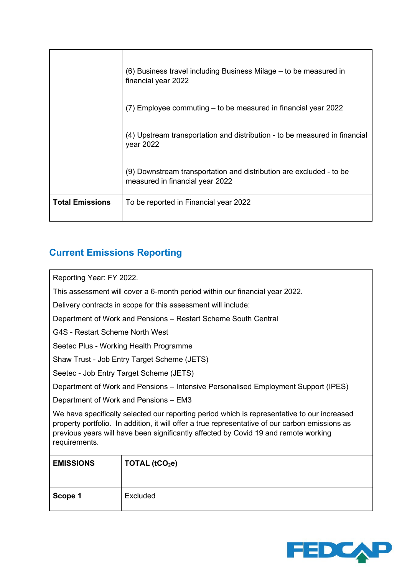|                        | (6) Business travel including Business Milage – to be measured in<br>financial year 2022               |
|------------------------|--------------------------------------------------------------------------------------------------------|
|                        | (7) Employee commuting – to be measured in financial year 2022                                         |
|                        | (4) Upstream transportation and distribution - to be measured in financial<br>year 2022                |
|                        | (9) Downstream transportation and distribution are excluded - to be<br>measured in financial year 2022 |
| <b>Total Emissions</b> | To be reported in Financial year 2022                                                                  |

## **Current Emissions Reporting**

Reporting Year: FY 2022.

This assessment will cover a 6-month period within our financial year 2022.

Delivery contracts in scope for this assessment will include:

Department of Work and Pensions – Restart Scheme South Central

G4S - Restart Scheme North West

Seetec Plus - Working Health Programme

Shaw Trust - Job Entry Target Scheme (JETS)

Seetec - Job Entry Target Scheme (JETS)

Department of Work and Pensions – Intensive Personalised Employment Support (IPES)

Department of Work and Pensions – EM3

We have specifically selected our reporting period which is representative to our increased property portfolio. In addition, it will offer a true representative of our carbon emissions as previous years will have been significantly affected by Covid 19 and remote working requirements.

| <b>EMISSIONS</b> | TOTAL (tCO <sub>2</sub> e) |
|------------------|----------------------------|
| Scope 1          | Excluded                   |

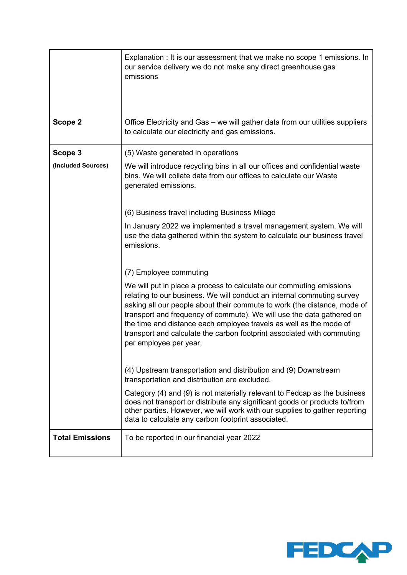|                        | Explanation : It is our assessment that we make no scope 1 emissions. In<br>our service delivery we do not make any direct greenhouse gas<br>emissions                                                                                                                                                                                                                                                                                                                       |
|------------------------|------------------------------------------------------------------------------------------------------------------------------------------------------------------------------------------------------------------------------------------------------------------------------------------------------------------------------------------------------------------------------------------------------------------------------------------------------------------------------|
| Scope 2                | Office Electricity and Gas - we will gather data from our utilities suppliers<br>to calculate our electricity and gas emissions.                                                                                                                                                                                                                                                                                                                                             |
| Scope 3                | (5) Waste generated in operations                                                                                                                                                                                                                                                                                                                                                                                                                                            |
| (Included Sources)     | We will introduce recycling bins in all our offices and confidential waste<br>bins. We will collate data from our offices to calculate our Waste<br>generated emissions.                                                                                                                                                                                                                                                                                                     |
|                        | (6) Business travel including Business Milage                                                                                                                                                                                                                                                                                                                                                                                                                                |
|                        | In January 2022 we implemented a travel management system. We will<br>use the data gathered within the system to calculate our business travel<br>emissions.                                                                                                                                                                                                                                                                                                                 |
|                        | (7) Employee commuting                                                                                                                                                                                                                                                                                                                                                                                                                                                       |
|                        | We will put in place a process to calculate our commuting emissions<br>relating to our business. We will conduct an internal commuting survey<br>asking all our people about their commute to work (the distance, mode of<br>transport and frequency of commute). We will use the data gathered on<br>the time and distance each employee travels as well as the mode of<br>transport and calculate the carbon footprint associated with commuting<br>per employee per year, |
|                        | (4) Upstream transportation and distribution and (9) Downstream<br>transportation and distribution are excluded.                                                                                                                                                                                                                                                                                                                                                             |
|                        | Category (4) and (9) is not materially relevant to Fedcap as the business<br>does not transport or distribute any significant goods or products to/from<br>other parties. However, we will work with our supplies to gather reporting<br>data to calculate any carbon footprint associated.                                                                                                                                                                                  |
| <b>Total Emissions</b> | To be reported in our financial year 2022                                                                                                                                                                                                                                                                                                                                                                                                                                    |

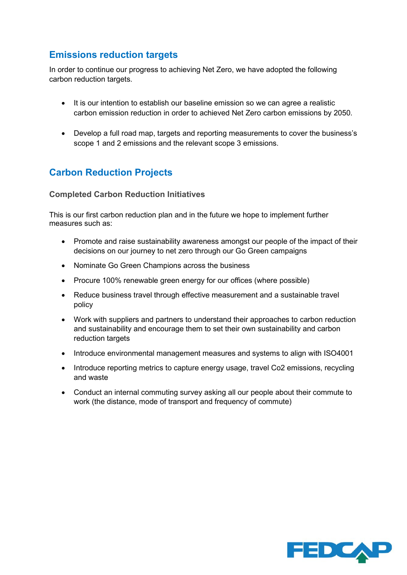### **Emissions reduction targets**

In order to continue our progress to achieving Net Zero, we have adopted the following carbon reduction targets.

- It is our intention to establish our baseline emission so we can agree a realistic carbon emission reduction in order to achieved Net Zero carbon emissions by 2050.
- Develop a full road map, targets and reporting measurements to cover the business's scope 1 and 2 emissions and the relevant scope 3 emissions.

#### **Carbon Reduction Projects**

#### **Completed Carbon Reduction Initiatives**

This is our first carbon reduction plan and in the future we hope to implement further measures such as:

- Promote and raise sustainability awareness amongst our people of the impact of their decisions on our journey to net zero through our Go Green campaigns
- Nominate Go Green Champions across the business
- Procure 100% renewable green energy for our offices (where possible)
- Reduce business travel through effective measurement and a sustainable travel policy
- Work with suppliers and partners to understand their approaches to carbon reduction and sustainability and encourage them to set their own sustainability and carbon reduction targets
- Introduce environmental management measures and systems to align with ISO4001
- Introduce reporting metrics to capture energy usage, travel Co2 emissions, recycling and waste
- Conduct an internal commuting survey asking all our people about their commute to work (the distance, mode of transport and frequency of commute)